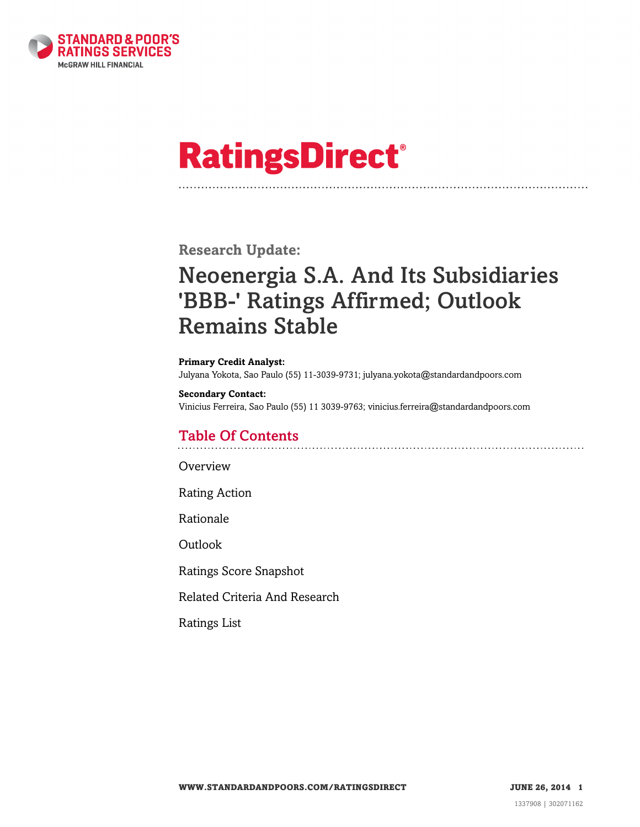

# **RatingsDirect®**

**Research Update:**

# Neoenergia S.A. And Its Subsidiaries 'BBB-' Ratings Affirmed; Outlook Remains Stable

**Primary Credit Analyst:** Julyana Yokota, Sao Paulo (55) 11-3039-9731; julyana.yokota@standardandpoors.com

**Secondary Contact:** Vinicius Ferreira, Sao Paulo (55) 11 3039-9763; vinicius.ferreira@standardandpoors.com

# Table Of Contents

**[Overview](#page-1-0)** 

[Rating Action](#page-1-1)

[Rationale](#page-1-2)

[Outlook](#page-4-0)

[Ratings Score Snapshot](#page-5-0)

[Related Criteria And Research](#page-5-1)

[Ratings List](#page-6-0)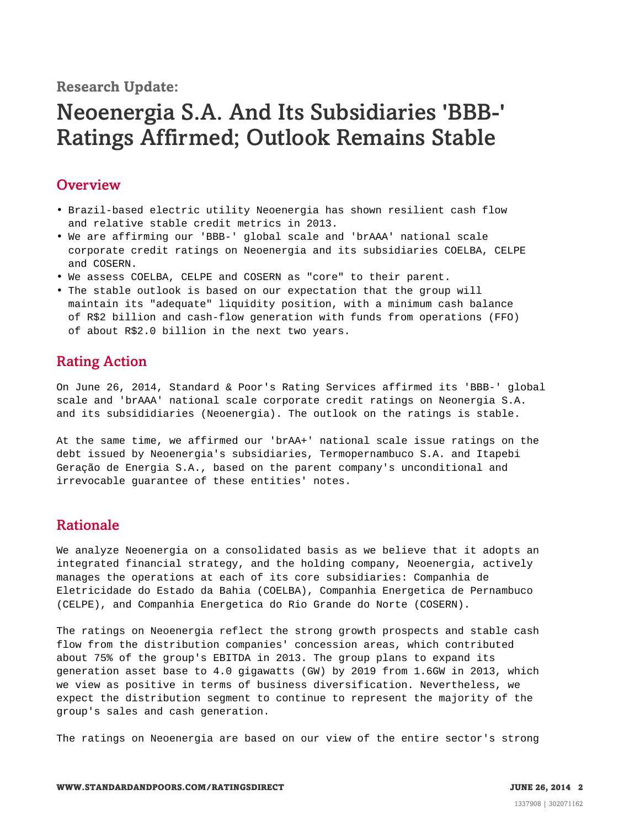**Research Update:**

# Neoenergia S.A. And Its Subsidiaries 'BBB-' Ratings Affirmed; Outlook Remains Stable

### <span id="page-1-0"></span>**Overview**

- Brazil-based electric utility Neoenergia has shown resilient cash flow and relative stable credit metrics in 2013.
- We are affirming our 'BBB-' global scale and 'brAAA' national scale corporate credit ratings on Neoenergia and its subsidiaries COELBA, CELPE and COSERN.
- We assess COELBA, CELPE and COSERN as "core" to their parent.
- The stable outlook is based on our expectation that the group will maintain its "adequate" liquidity position, with a minimum cash balance of R\$2 billion and cash-flow generation with funds from operations (FFO) of about R\$2.0 billion in the next two years.

# <span id="page-1-1"></span>Rating Action

On June 26, 2014, Standard & Poor's Rating Services affirmed its 'BBB-' global scale and 'brAAA' national scale corporate credit ratings on Neonergia S.A. and its subsididiaries (Neoenergia). The outlook on the ratings is stable.

At the same time, we affirmed our 'brAA+' national scale issue ratings on the debt issued by Neoenergia's subsidiaries, Termopernambuco S.A. and Itapebi Geração de Energia S.A., based on the parent company's unconditional and irrevocable guarantee of these entities' notes.

# <span id="page-1-2"></span>Rationale

We analyze Neoenergia on a consolidated basis as we believe that it adopts an integrated financial strategy, and the holding company, Neoenergia, actively manages the operations at each of its core subsidiaries: Companhia de Eletricidade do Estado da Bahia (COELBA), Companhia Energetica de Pernambuco (CELPE), and Companhia Energetica do Rio Grande do Norte (COSERN).

The ratings on Neoenergia reflect the strong growth prospects and stable cash flow from the distribution companies' concession areas, which contributed about 75% of the group's EBITDA in 2013. The group plans to expand its generation asset base to 4.0 gigawatts (GW) by 2019 from 1.6GW in 2013, which we view as positive in terms of business diversification. Nevertheless, we expect the distribution segment to continue to represent the majority of the group's sales and cash generation.

The ratings on Neoenergia are based on our view of the entire sector's strong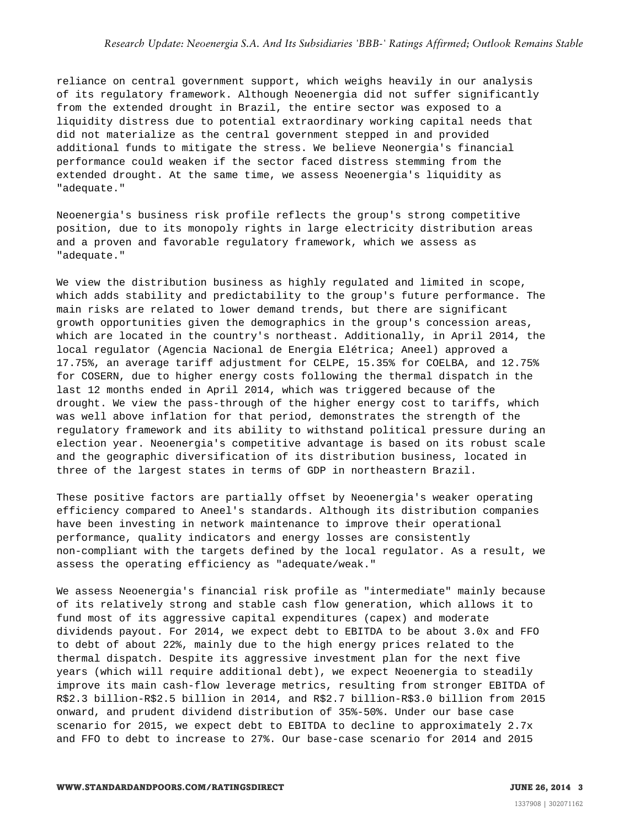reliance on central government support, which weighs heavily in our analysis of its regulatory framework. Although Neoenergia did not suffer significantly from the extended drought in Brazil, the entire sector was exposed to a liquidity distress due to potential extraordinary working capital needs that did not materialize as the central government stepped in and provided additional funds to mitigate the stress. We believe Neonergia's financial performance could weaken if the sector faced distress stemming from the extended drought. At the same time, we assess Neoenergia's liquidity as "adequate."

Neoenergia's business risk profile reflects the group's strong competitive position, due to its monopoly rights in large electricity distribution areas and a proven and favorable regulatory framework, which we assess as "adequate."

We view the distribution business as highly regulated and limited in scope, which adds stability and predictability to the group's future performance. The main risks are related to lower demand trends, but there are significant growth opportunities given the demographics in the group's concession areas, which are located in the country's northeast. Additionally, in April 2014, the local regulator (Agencia Nacional de Energia Elétrica; Aneel) approved a 17.75%, an average tariff adjustment for CELPE, 15.35% for COELBA, and 12.75% for COSERN, due to higher energy costs following the thermal dispatch in the last 12 months ended in April 2014, which was triggered because of the drought. We view the pass-through of the higher energy cost to tariffs, which was well above inflation for that period, demonstrates the strength of the regulatory framework and its ability to withstand political pressure during an election year. Neoenergia's competitive advantage is based on its robust scale and the geographic diversification of its distribution business, located in three of the largest states in terms of GDP in northeastern Brazil.

These positive factors are partially offset by Neoenergia's weaker operating efficiency compared to Aneel's standards. Although its distribution companies have been investing in network maintenance to improve their operational performance, quality indicators and energy losses are consistently non-compliant with the targets defined by the local regulator. As a result, we assess the operating efficiency as "adequate/weak."

We assess Neoenergia's financial risk profile as "intermediate" mainly because of its relatively strong and stable cash flow generation, which allows it to fund most of its aggressive capital expenditures (capex) and moderate dividends payout. For 2014, we expect debt to EBITDA to be about 3.0x and FFO to debt of about 22%, mainly due to the high energy prices related to the thermal dispatch. Despite its aggressive investment plan for the next five years (which will require additional debt), we expect Neoenergia to steadily improve its main cash-flow leverage metrics, resulting from stronger EBITDA of R\$2.3 billion-R\$2.5 billion in 2014, and R\$2.7 billion-R\$3.0 billion from 2015 onward, and prudent dividend distribution of 35%-50%. Under our base case scenario for 2015, we expect debt to EBITDA to decline to approximately 2.7x and FFO to debt to increase to 27%. Our base-case scenario for 2014 and 2015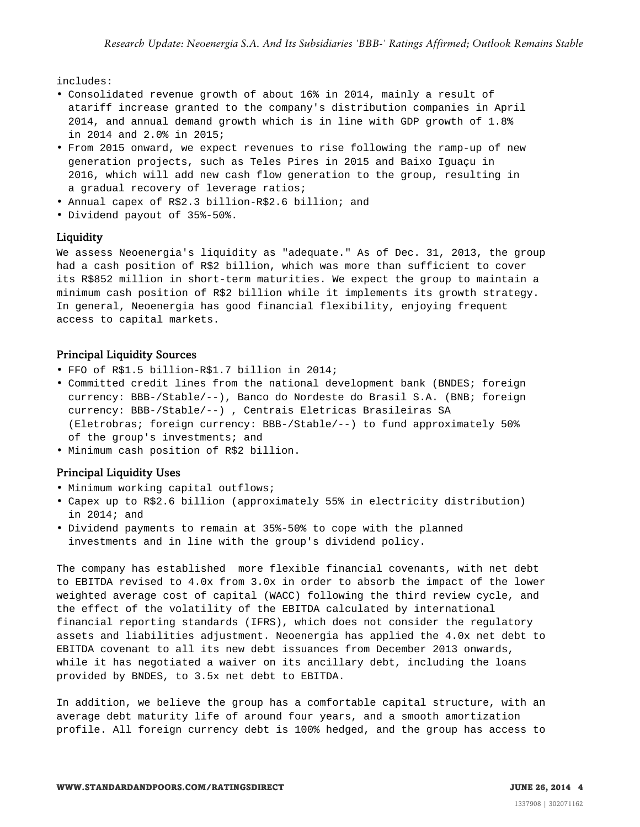includes:

- Consolidated revenue growth of about 16% in 2014, mainly a result of atariff increase granted to the company's distribution companies in April 2014, and annual demand growth which is in line with GDP growth of 1.8% in 2014 and 2.0% in 2015;
- From 2015 onward, we expect revenues to rise following the ramp-up of new generation projects, such as Teles Pires in 2015 and Baixo Iguaçu in 2016, which will add new cash flow generation to the group, resulting in a gradual recovery of leverage ratios;
- Annual capex of R\$2.3 billion-R\$2.6 billion; and
- Dividend payout of 35%-50%.

#### Liquidity

We assess Neoenergia's liquidity as "adequate." As of Dec. 31, 2013, the group had a cash position of R\$2 billion, which was more than sufficient to cover its R\$852 million in short-term maturities. We expect the group to maintain a minimum cash position of R\$2 billion while it implements its growth strategy. In general, Neoenergia has good financial flexibility, enjoying frequent access to capital markets.

#### Principal Liquidity Sources

- FFO of R\$1.5 billion-R\$1.7 billion in 2014;
- Committed credit lines from the national development bank (BNDES; foreign currency: BBB-/Stable/--), Banco do Nordeste do Brasil S.A. (BNB; foreign currency: BBB-/Stable/--) , Centrais Eletricas Brasileiras SA (Eletrobras; foreign currency: BBB-/Stable/--) to fund approximately 50% of the group's investments; and
- Minimum cash position of R\$2 billion.

#### Principal Liquidity Uses

- Minimum working capital outflows;
- Capex up to R\$2.6 billion (approximately 55% in electricity distribution) in 2014; and
- Dividend payments to remain at 35%-50% to cope with the planned investments and in line with the group's dividend policy.

The company has established more flexible financial covenants, with net debt to EBITDA revised to 4.0x from 3.0x in order to absorb the impact of the lower weighted average cost of capital (WACC) following the third review cycle, and the effect of the volatility of the EBITDA calculated by international financial reporting standards (IFRS), which does not consider the regulatory assets and liabilities adjustment. Neoenergia has applied the 4.0x net debt to EBITDA covenant to all its new debt issuances from December 2013 onwards, while it has negotiated a waiver on its ancillary debt, including the loans provided by BNDES, to 3.5x net debt to EBITDA.

In addition, we believe the group has a comfortable capital structure, with an average debt maturity life of around four years, and a smooth amortization profile. All foreign currency debt is 100% hedged, and the group has access to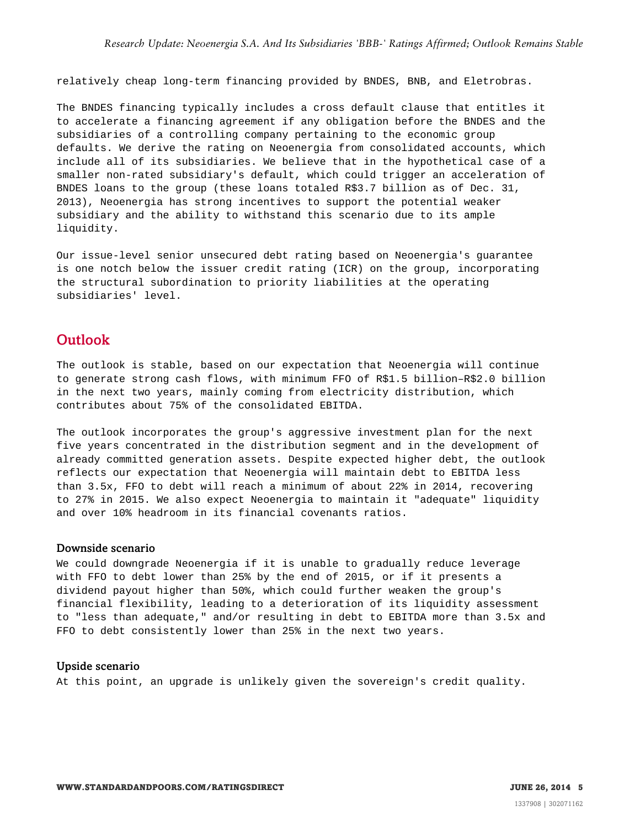relatively cheap long-term financing provided by BNDES, BNB, and Eletrobras.

The BNDES financing typically includes a cross default clause that entitles it to accelerate a financing agreement if any obligation before the BNDES and the subsidiaries of a controlling company pertaining to the economic group defaults. We derive the rating on Neoenergia from consolidated accounts, which include all of its subsidiaries. We believe that in the hypothetical case of a smaller non-rated subsidiary's default, which could trigger an acceleration of BNDES loans to the group (these loans totaled R\$3.7 billion as of Dec. 31, 2013), Neoenergia has strong incentives to support the potential weaker subsidiary and the ability to withstand this scenario due to its ample liquidity.

Our issue-level senior unsecured debt rating based on Neoenergia's guarantee is one notch below the issuer credit rating (ICR) on the group, incorporating the structural subordination to priority liabilities at the operating subsidiaries' level.

### <span id="page-4-0"></span>**Outlook**

The outlook is stable, based on our expectation that Neoenergia will continue to generate strong cash flows, with minimum FFO of R\$1.5 billion–R\$2.0 billion in the next two years, mainly coming from electricity distribution, which contributes about 75% of the consolidated EBITDA.

The outlook incorporates the group's aggressive investment plan for the next five years concentrated in the distribution segment and in the development of already committed generation assets. Despite expected higher debt, the outlook reflects our expectation that Neoenergia will maintain debt to EBITDA less than 3.5x, FFO to debt will reach a minimum of about 22% in 2014, recovering to 27% in 2015. We also expect Neoenergia to maintain it "adequate" liquidity and over 10% headroom in its financial covenants ratios.

#### Downside scenario

We could downgrade Neoenergia if it is unable to gradually reduce leverage with FFO to debt lower than 25% by the end of 2015, or if it presents a dividend payout higher than 50%, which could further weaken the group's financial flexibility, leading to a deterioration of its liquidity assessment to "less than adequate," and/or resulting in debt to EBITDA more than 3.5x and FFO to debt consistently lower than 25% in the next two years.

#### Upside scenario

At this point, an upgrade is unlikely given the sovereign's credit quality.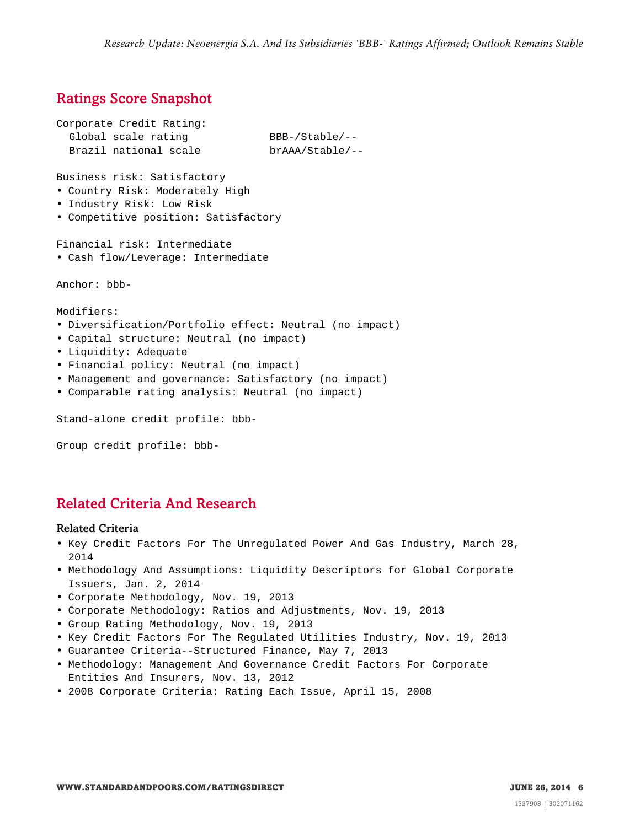# <span id="page-5-0"></span>Ratings Score Snapshot

```
Corporate Credit Rating:
 Global scale rating BBB-/Stable/--<br>Brazil national scale brAAA/Stable/--
  Brazil national scale
Business risk: Satisfactory
• Country Risk: Moderately High
• Industry Risk: Low Risk
• Competitive position: Satisfactory
Financial risk: Intermediate
• Cash flow/Leverage: Intermediate
Anchor: bbb-
Modifiers:
• Diversification/Portfolio effect: Neutral (no impact)
• Capital structure: Neutral (no impact)
• Liquidity: Adequate
• Financial policy: Neutral (no impact)
• Management and governance: Satisfactory (no impact)
• Comparable rating analysis: Neutral (no impact)
Stand-alone credit profile: bbb-
```
Group credit profile: bbb-

# <span id="page-5-1"></span>Related Criteria And Research

#### Related Criteria

- Key Credit Factors For The Unregulated Power And Gas Industry, March 28, 2014
- Methodology And Assumptions: Liquidity Descriptors for Global Corporate Issuers, Jan. 2, 2014
- Corporate Methodology, Nov. 19, 2013
- Corporate Methodology: Ratios and Adjustments, Nov. 19, 2013
- Group Rating Methodology, Nov. 19, 2013
- Key Credit Factors For The Regulated Utilities Industry, Nov. 19, 2013
- Guarantee Criteria--Structured Finance, May 7, 2013
- Methodology: Management And Governance Credit Factors For Corporate Entities And Insurers, Nov. 13, 2012
- 2008 Corporate Criteria: Rating Each Issue, April 15, 2008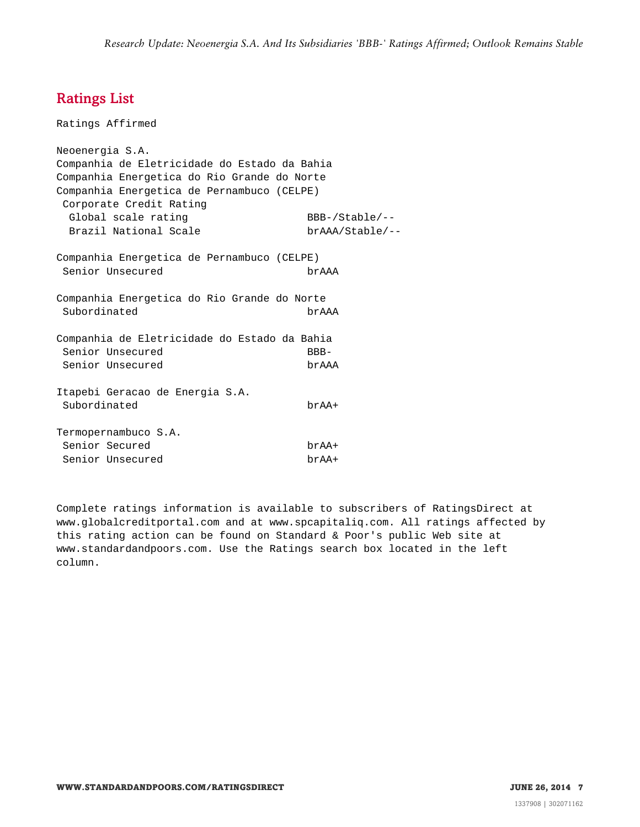# <span id="page-6-0"></span>Ratings List

Ratings Affirmed Neoenergia S.A. Companhia de Eletricidade do Estado da Bahia Companhia Energetica do Rio Grande do Norte Companhia Energetica de Pernambuco (CELPE) Corporate Credit Rating Global scale rating BBB-/Stable/--Brazil National Scale brAAA/Stable/--Companhia Energetica de Pernambuco (CELPE) Senior Unsecured brAAA Companhia Energetica do Rio Grande do Norte Subordinated brAAA Companhia de Eletricidade do Estado da Bahia Senior Unsecured BBB-Senior Unsecured brAAA Itapebi Geracao de Energia S.A. Subordinated brAA+ Termopernambuco S.A. Senior Secured brAA+ Senior Unsecured brAA+

Complete ratings information is available to subscribers of RatingsDirect at www.globalcreditportal.com and at www.spcapitaliq.com. All ratings affected by this rating action can be found on Standard & Poor's public Web site at www.standardandpoors.com. Use the Ratings search box located in the left column.